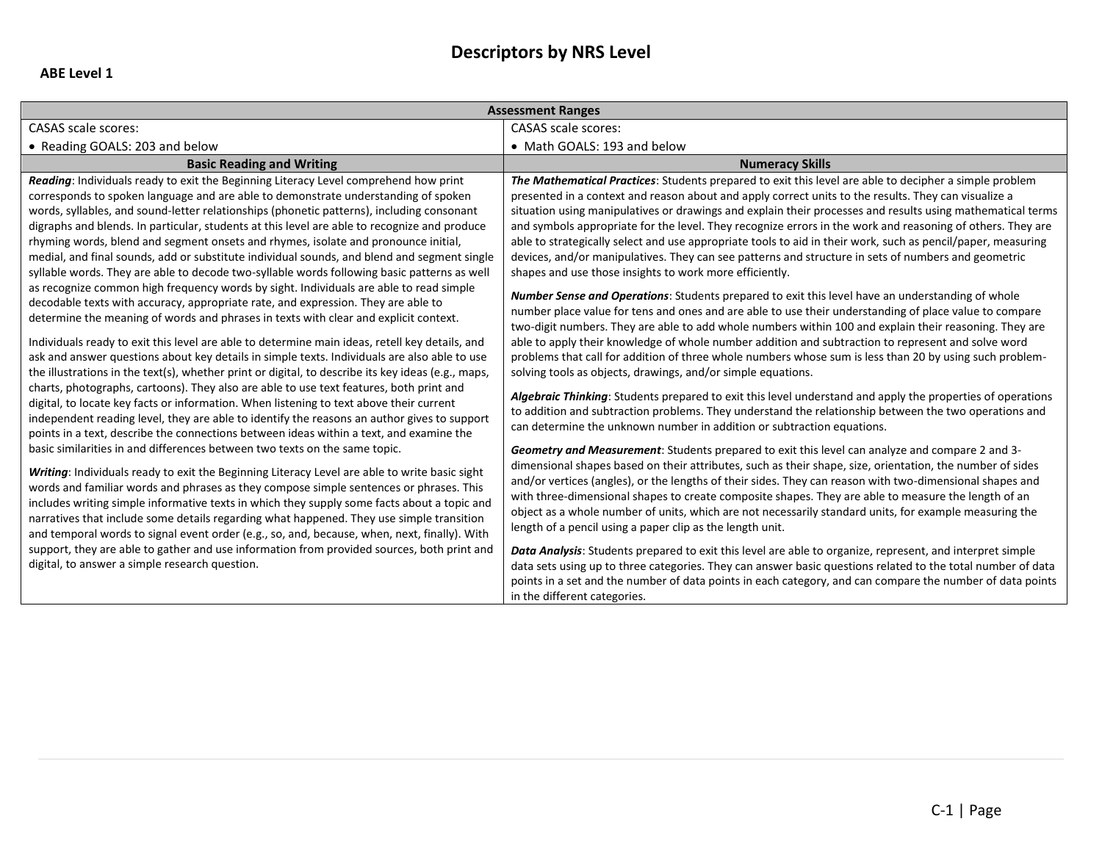## **Descriptors by NRS Level**

| <b>Assessment Ranges</b>                                                                                                                                                                                                                                                                                                                                                                                                                                                                                                                                                                                                                                                                                                                                                                                                                                                                                                                                                                                                                                                                                                                                                                                                                                                                                                                                                                                                                                                                                                                                                                                                                                                                                                                                                                                                                                                                                                                                                                                                                                                                                                                                                                                                                                                                                                                       |                                                                                                                                                                                                                                                                                                                                                                                                                                                                                                                                                                                                                                                                                                                                                                                                                                                                                                                                                                                                                                                                                                                                                                                                                                                                                                                                                                                                                                                                                                                                                                                                                                                                                                                                                                                                                                                                                                                                                                                                                                                                                                                                                                                                                                                                                                                                                                                                                                                                                                                                                                                                                                         |  |
|------------------------------------------------------------------------------------------------------------------------------------------------------------------------------------------------------------------------------------------------------------------------------------------------------------------------------------------------------------------------------------------------------------------------------------------------------------------------------------------------------------------------------------------------------------------------------------------------------------------------------------------------------------------------------------------------------------------------------------------------------------------------------------------------------------------------------------------------------------------------------------------------------------------------------------------------------------------------------------------------------------------------------------------------------------------------------------------------------------------------------------------------------------------------------------------------------------------------------------------------------------------------------------------------------------------------------------------------------------------------------------------------------------------------------------------------------------------------------------------------------------------------------------------------------------------------------------------------------------------------------------------------------------------------------------------------------------------------------------------------------------------------------------------------------------------------------------------------------------------------------------------------------------------------------------------------------------------------------------------------------------------------------------------------------------------------------------------------------------------------------------------------------------------------------------------------------------------------------------------------------------------------------------------------------------------------------------------------|-----------------------------------------------------------------------------------------------------------------------------------------------------------------------------------------------------------------------------------------------------------------------------------------------------------------------------------------------------------------------------------------------------------------------------------------------------------------------------------------------------------------------------------------------------------------------------------------------------------------------------------------------------------------------------------------------------------------------------------------------------------------------------------------------------------------------------------------------------------------------------------------------------------------------------------------------------------------------------------------------------------------------------------------------------------------------------------------------------------------------------------------------------------------------------------------------------------------------------------------------------------------------------------------------------------------------------------------------------------------------------------------------------------------------------------------------------------------------------------------------------------------------------------------------------------------------------------------------------------------------------------------------------------------------------------------------------------------------------------------------------------------------------------------------------------------------------------------------------------------------------------------------------------------------------------------------------------------------------------------------------------------------------------------------------------------------------------------------------------------------------------------------------------------------------------------------------------------------------------------------------------------------------------------------------------------------------------------------------------------------------------------------------------------------------------------------------------------------------------------------------------------------------------------------------------------------------------------------------------------------------------------|--|
| <b>CASAS</b> scale scores:                                                                                                                                                                                                                                                                                                                                                                                                                                                                                                                                                                                                                                                                                                                                                                                                                                                                                                                                                                                                                                                                                                                                                                                                                                                                                                                                                                                                                                                                                                                                                                                                                                                                                                                                                                                                                                                                                                                                                                                                                                                                                                                                                                                                                                                                                                                     | <b>CASAS</b> scale scores:                                                                                                                                                                                                                                                                                                                                                                                                                                                                                                                                                                                                                                                                                                                                                                                                                                                                                                                                                                                                                                                                                                                                                                                                                                                                                                                                                                                                                                                                                                                                                                                                                                                                                                                                                                                                                                                                                                                                                                                                                                                                                                                                                                                                                                                                                                                                                                                                                                                                                                                                                                                                              |  |
| • Reading GOALS: 203 and below                                                                                                                                                                                                                                                                                                                                                                                                                                                                                                                                                                                                                                                                                                                                                                                                                                                                                                                                                                                                                                                                                                                                                                                                                                                                                                                                                                                                                                                                                                                                                                                                                                                                                                                                                                                                                                                                                                                                                                                                                                                                                                                                                                                                                                                                                                                 | • Math GOALS: 193 and below                                                                                                                                                                                                                                                                                                                                                                                                                                                                                                                                                                                                                                                                                                                                                                                                                                                                                                                                                                                                                                                                                                                                                                                                                                                                                                                                                                                                                                                                                                                                                                                                                                                                                                                                                                                                                                                                                                                                                                                                                                                                                                                                                                                                                                                                                                                                                                                                                                                                                                                                                                                                             |  |
| <b>Basic Reading and Writing</b>                                                                                                                                                                                                                                                                                                                                                                                                                                                                                                                                                                                                                                                                                                                                                                                                                                                                                                                                                                                                                                                                                                                                                                                                                                                                                                                                                                                                                                                                                                                                                                                                                                                                                                                                                                                                                                                                                                                                                                                                                                                                                                                                                                                                                                                                                                               | <b>Numeracy Skills</b>                                                                                                                                                                                                                                                                                                                                                                                                                                                                                                                                                                                                                                                                                                                                                                                                                                                                                                                                                                                                                                                                                                                                                                                                                                                                                                                                                                                                                                                                                                                                                                                                                                                                                                                                                                                                                                                                                                                                                                                                                                                                                                                                                                                                                                                                                                                                                                                                                                                                                                                                                                                                                  |  |
| Reading: Individuals ready to exit the Beginning Literacy Level comprehend how print<br>corresponds to spoken language and are able to demonstrate understanding of spoken<br>words, syllables, and sound-letter relationships (phonetic patterns), including consonant<br>digraphs and blends. In particular, students at this level are able to recognize and produce<br>rhyming words, blend and segment onsets and rhymes, isolate and pronounce initial,<br>medial, and final sounds, add or substitute individual sounds, and blend and segment single<br>syllable words. They are able to decode two-syllable words following basic patterns as well<br>as recognize common high frequency words by sight. Individuals are able to read simple<br>decodable texts with accuracy, appropriate rate, and expression. They are able to<br>determine the meaning of words and phrases in texts with clear and explicit context.<br>Individuals ready to exit this level are able to determine main ideas, retell key details, and<br>ask and answer questions about key details in simple texts. Individuals are also able to use<br>the illustrations in the text(s), whether print or digital, to describe its key ideas (e.g., maps,<br>charts, photographs, cartoons). They also are able to use text features, both print and<br>digital, to locate key facts or information. When listening to text above their current<br>independent reading level, they are able to identify the reasons an author gives to support<br>points in a text, describe the connections between ideas within a text, and examine the<br>basic similarities in and differences between two texts on the same topic.<br>Writing: Individuals ready to exit the Beginning Literacy Level are able to write basic sight<br>words and familiar words and phrases as they compose simple sentences or phrases. This<br>includes writing simple informative texts in which they supply some facts about a topic and<br>narratives that include some details regarding what happened. They use simple transition<br>and temporal words to signal event order (e.g., so, and, because, when, next, finally). With<br>support, they are able to gather and use information from provided sources, both print and<br>digital, to answer a simple research question. | The Mathematical Practices: Students prepared to exit this level are able to decipher a simple problem<br>presented in a context and reason about and apply correct units to the results. They can visualize a<br>situation using manipulatives or drawings and explain their processes and results using mathematical terms<br>and symbols appropriate for the level. They recognize errors in the work and reasoning of others. They are<br>able to strategically select and use appropriate tools to aid in their work, such as pencil/paper, measuring<br>devices, and/or manipulatives. They can see patterns and structure in sets of numbers and geometric<br>shapes and use those insights to work more efficiently.<br><b>Number Sense and Operations:</b> Students prepared to exit this level have an understanding of whole<br>number place value for tens and ones and are able to use their understanding of place value to compare<br>two-digit numbers. They are able to add whole numbers within 100 and explain their reasoning. They are<br>able to apply their knowledge of whole number addition and subtraction to represent and solve word<br>problems that call for addition of three whole numbers whose sum is less than 20 by using such problem-<br>solving tools as objects, drawings, and/or simple equations.<br>Algebraic Thinking: Students prepared to exit this level understand and apply the properties of operations<br>to addition and subtraction problems. They understand the relationship between the two operations and<br>can determine the unknown number in addition or subtraction equations.<br>Geometry and Measurement: Students prepared to exit this level can analyze and compare 2 and 3-<br>dimensional shapes based on their attributes, such as their shape, size, orientation, the number of sides<br>and/or vertices (angles), or the lengths of their sides. They can reason with two-dimensional shapes and<br>with three-dimensional shapes to create composite shapes. They are able to measure the length of an<br>object as a whole number of units, which are not necessarily standard units, for example measuring the<br>length of a pencil using a paper clip as the length unit.<br><b>Data Analysis:</b> Students prepared to exit this level are able to organize, represent, and interpret simple<br>data sets using up to three categories. They can answer basic questions related to the total number of data<br>points in a set and the number of data points in each category, and can compare the number of data points<br>in the different categories. |  |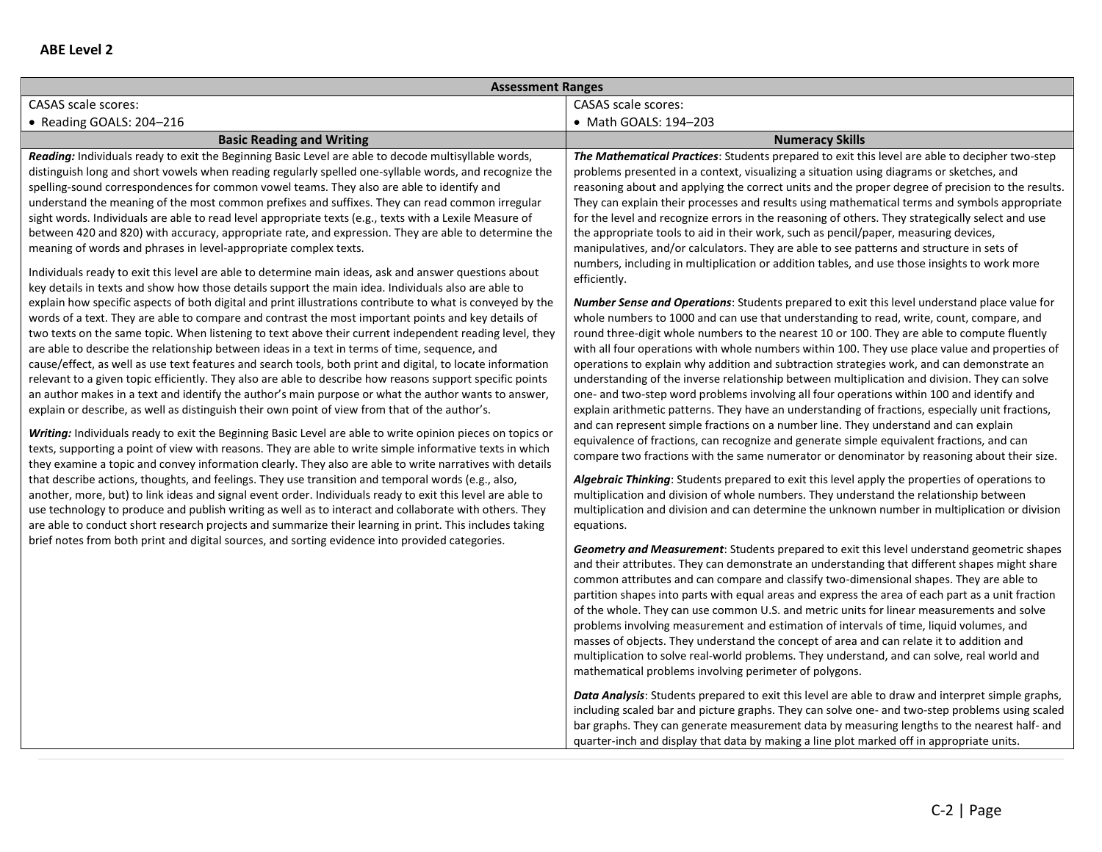| <b>Assessment Ranges</b>                                                                                                                                                                                                                                                                                                                                                                                                                                                                                                                                                                                                                                                                                                                                                                                                                                                                                                                                                                                                                                                                                                                                                                                                                                                                                                                                                                                                                                                                                                                                                                                                                                                                                                                                                                                                                                                                                                                                                                                                                                                                                                                                                                                                                                                                                                                                                                                                                                                                                                                                                                                                                                                             |                                                                                                                                                                                                                                                                                                                                                                                                                                                                                                                                                                                                                                                                                                                                                                                                                                                                                                                                                                                                                                                                                                                                                                                                                                                                                                                                                                                                                                                                                                                                                                                                                                                                                                                                                                                                                                                                                                                                                                                                                                                                                                                                                                                                                                                                                                                                                                                                                                                                                                                                                                                                                                                                                                                                                                                                                                                                                                                                                                                                                                                                                                                                                                                                                                                                                                                                                                                                                                                                       |
|--------------------------------------------------------------------------------------------------------------------------------------------------------------------------------------------------------------------------------------------------------------------------------------------------------------------------------------------------------------------------------------------------------------------------------------------------------------------------------------------------------------------------------------------------------------------------------------------------------------------------------------------------------------------------------------------------------------------------------------------------------------------------------------------------------------------------------------------------------------------------------------------------------------------------------------------------------------------------------------------------------------------------------------------------------------------------------------------------------------------------------------------------------------------------------------------------------------------------------------------------------------------------------------------------------------------------------------------------------------------------------------------------------------------------------------------------------------------------------------------------------------------------------------------------------------------------------------------------------------------------------------------------------------------------------------------------------------------------------------------------------------------------------------------------------------------------------------------------------------------------------------------------------------------------------------------------------------------------------------------------------------------------------------------------------------------------------------------------------------------------------------------------------------------------------------------------------------------------------------------------------------------------------------------------------------------------------------------------------------------------------------------------------------------------------------------------------------------------------------------------------------------------------------------------------------------------------------------------------------------------------------------------------------------------------------|-----------------------------------------------------------------------------------------------------------------------------------------------------------------------------------------------------------------------------------------------------------------------------------------------------------------------------------------------------------------------------------------------------------------------------------------------------------------------------------------------------------------------------------------------------------------------------------------------------------------------------------------------------------------------------------------------------------------------------------------------------------------------------------------------------------------------------------------------------------------------------------------------------------------------------------------------------------------------------------------------------------------------------------------------------------------------------------------------------------------------------------------------------------------------------------------------------------------------------------------------------------------------------------------------------------------------------------------------------------------------------------------------------------------------------------------------------------------------------------------------------------------------------------------------------------------------------------------------------------------------------------------------------------------------------------------------------------------------------------------------------------------------------------------------------------------------------------------------------------------------------------------------------------------------------------------------------------------------------------------------------------------------------------------------------------------------------------------------------------------------------------------------------------------------------------------------------------------------------------------------------------------------------------------------------------------------------------------------------------------------------------------------------------------------------------------------------------------------------------------------------------------------------------------------------------------------------------------------------------------------------------------------------------------------------------------------------------------------------------------------------------------------------------------------------------------------------------------------------------------------------------------------------------------------------------------------------------------------------------------------------------------------------------------------------------------------------------------------------------------------------------------------------------------------------------------------------------------------------------------------------------------------------------------------------------------------------------------------------------------------------------------------------------------------------------------------------------------------|
| <b>CASAS</b> scale scores:                                                                                                                                                                                                                                                                                                                                                                                                                                                                                                                                                                                                                                                                                                                                                                                                                                                                                                                                                                                                                                                                                                                                                                                                                                                                                                                                                                                                                                                                                                                                                                                                                                                                                                                                                                                                                                                                                                                                                                                                                                                                                                                                                                                                                                                                                                                                                                                                                                                                                                                                                                                                                                                           | <b>CASAS</b> scale scores:                                                                                                                                                                                                                                                                                                                                                                                                                                                                                                                                                                                                                                                                                                                                                                                                                                                                                                                                                                                                                                                                                                                                                                                                                                                                                                                                                                                                                                                                                                                                                                                                                                                                                                                                                                                                                                                                                                                                                                                                                                                                                                                                                                                                                                                                                                                                                                                                                                                                                                                                                                                                                                                                                                                                                                                                                                                                                                                                                                                                                                                                                                                                                                                                                                                                                                                                                                                                                                            |
| • Reading GOALS: 204-216                                                                                                                                                                                                                                                                                                                                                                                                                                                                                                                                                                                                                                                                                                                                                                                                                                                                                                                                                                                                                                                                                                                                                                                                                                                                                                                                                                                                                                                                                                                                                                                                                                                                                                                                                                                                                                                                                                                                                                                                                                                                                                                                                                                                                                                                                                                                                                                                                                                                                                                                                                                                                                                             | • Math GOALS: 194-203                                                                                                                                                                                                                                                                                                                                                                                                                                                                                                                                                                                                                                                                                                                                                                                                                                                                                                                                                                                                                                                                                                                                                                                                                                                                                                                                                                                                                                                                                                                                                                                                                                                                                                                                                                                                                                                                                                                                                                                                                                                                                                                                                                                                                                                                                                                                                                                                                                                                                                                                                                                                                                                                                                                                                                                                                                                                                                                                                                                                                                                                                                                                                                                                                                                                                                                                                                                                                                                 |
| <b>Basic Reading and Writing</b>                                                                                                                                                                                                                                                                                                                                                                                                                                                                                                                                                                                                                                                                                                                                                                                                                                                                                                                                                                                                                                                                                                                                                                                                                                                                                                                                                                                                                                                                                                                                                                                                                                                                                                                                                                                                                                                                                                                                                                                                                                                                                                                                                                                                                                                                                                                                                                                                                                                                                                                                                                                                                                                     | <b>Numeracy Skills</b>                                                                                                                                                                                                                                                                                                                                                                                                                                                                                                                                                                                                                                                                                                                                                                                                                                                                                                                                                                                                                                                                                                                                                                                                                                                                                                                                                                                                                                                                                                                                                                                                                                                                                                                                                                                                                                                                                                                                                                                                                                                                                                                                                                                                                                                                                                                                                                                                                                                                                                                                                                                                                                                                                                                                                                                                                                                                                                                                                                                                                                                                                                                                                                                                                                                                                                                                                                                                                                                |
| Reading: Individuals ready to exit the Beginning Basic Level are able to decode multisyllable words,<br>distinguish long and short vowels when reading regularly spelled one-syllable words, and recognize the<br>spelling-sound correspondences for common vowel teams. They also are able to identify and<br>understand the meaning of the most common prefixes and suffixes. They can read common irregular<br>sight words. Individuals are able to read level appropriate texts (e.g., texts with a Lexile Measure of<br>between 420 and 820) with accuracy, appropriate rate, and expression. They are able to determine the<br>meaning of words and phrases in level-appropriate complex texts.<br>Individuals ready to exit this level are able to determine main ideas, ask and answer questions about<br>key details in texts and show how those details support the main idea. Individuals also are able to<br>explain how specific aspects of both digital and print illustrations contribute to what is conveyed by the<br>words of a text. They are able to compare and contrast the most important points and key details of<br>two texts on the same topic. When listening to text above their current independent reading level, they<br>are able to describe the relationship between ideas in a text in terms of time, sequence, and<br>cause/effect, as well as use text features and search tools, both print and digital, to locate information<br>relevant to a given topic efficiently. They also are able to describe how reasons support specific points<br>an author makes in a text and identify the author's main purpose or what the author wants to answer,<br>explain or describe, as well as distinguish their own point of view from that of the author's.<br><b>Writing:</b> Individuals ready to exit the Beginning Basic Level are able to write opinion pieces on topics or<br>texts, supporting a point of view with reasons. They are able to write simple informative texts in which<br>they examine a topic and convey information clearly. They also are able to write narratives with details<br>that describe actions, thoughts, and feelings. They use transition and temporal words (e.g., also,<br>another, more, but) to link ideas and signal event order. Individuals ready to exit this level are able to<br>use technology to produce and publish writing as well as to interact and collaborate with others. They<br>are able to conduct short research projects and summarize their learning in print. This includes taking<br>brief notes from both print and digital sources, and sorting evidence into provided categories. | The Mathematical Practices: Students prepared to exit this level are able to decipher two-step<br>problems presented in a context, visualizing a situation using diagrams or sketches, and<br>reasoning about and applying the correct units and the proper degree of precision to the results.<br>They can explain their processes and results using mathematical terms and symbols appropriate<br>for the level and recognize errors in the reasoning of others. They strategically select and use<br>the appropriate tools to aid in their work, such as pencil/paper, measuring devices,<br>manipulatives, and/or calculators. They are able to see patterns and structure in sets of<br>numbers, including in multiplication or addition tables, and use those insights to work more<br>efficiently.<br>Number Sense and Operations: Students prepared to exit this level understand place value for<br>whole numbers to 1000 and can use that understanding to read, write, count, compare, and<br>round three-digit whole numbers to the nearest 10 or 100. They are able to compute fluently<br>with all four operations with whole numbers within 100. They use place value and properties of<br>operations to explain why addition and subtraction strategies work, and can demonstrate an<br>understanding of the inverse relationship between multiplication and division. They can solve<br>one- and two-step word problems involving all four operations within 100 and identify and<br>explain arithmetic patterns. They have an understanding of fractions, especially unit fractions,<br>and can represent simple fractions on a number line. They understand and can explain<br>equivalence of fractions, can recognize and generate simple equivalent fractions, and can<br>compare two fractions with the same numerator or denominator by reasoning about their size.<br>Algebraic Thinking: Students prepared to exit this level apply the properties of operations to<br>multiplication and division of whole numbers. They understand the relationship between<br>multiplication and division and can determine the unknown number in multiplication or division<br>equations.<br><b>Geometry and Measurement:</b> Students prepared to exit this level understand geometric shapes<br>and their attributes. They can demonstrate an understanding that different shapes might share<br>common attributes and can compare and classify two-dimensional shapes. They are able to<br>partition shapes into parts with equal areas and express the area of each part as a unit fraction<br>of the whole. They can use common U.S. and metric units for linear measurements and solve<br>problems involving measurement and estimation of intervals of time, liquid volumes, and<br>masses of objects. They understand the concept of area and can relate it to addition and<br>multiplication to solve real-world problems. They understand, and can solve, real world and<br>mathematical problems involving perimeter of polygons.<br><b>Data Analysis:</b> Students prepared to exit this level are able to draw and interpret simple graphs,<br>including scaled bar and picture graphs. They can solve one- and two-step problems using scaled<br>bar graphs. They can generate measurement data by measuring lengths to the nearest half- and<br>quarter-inch and display that data by making a line plot marked off in appropriate units. |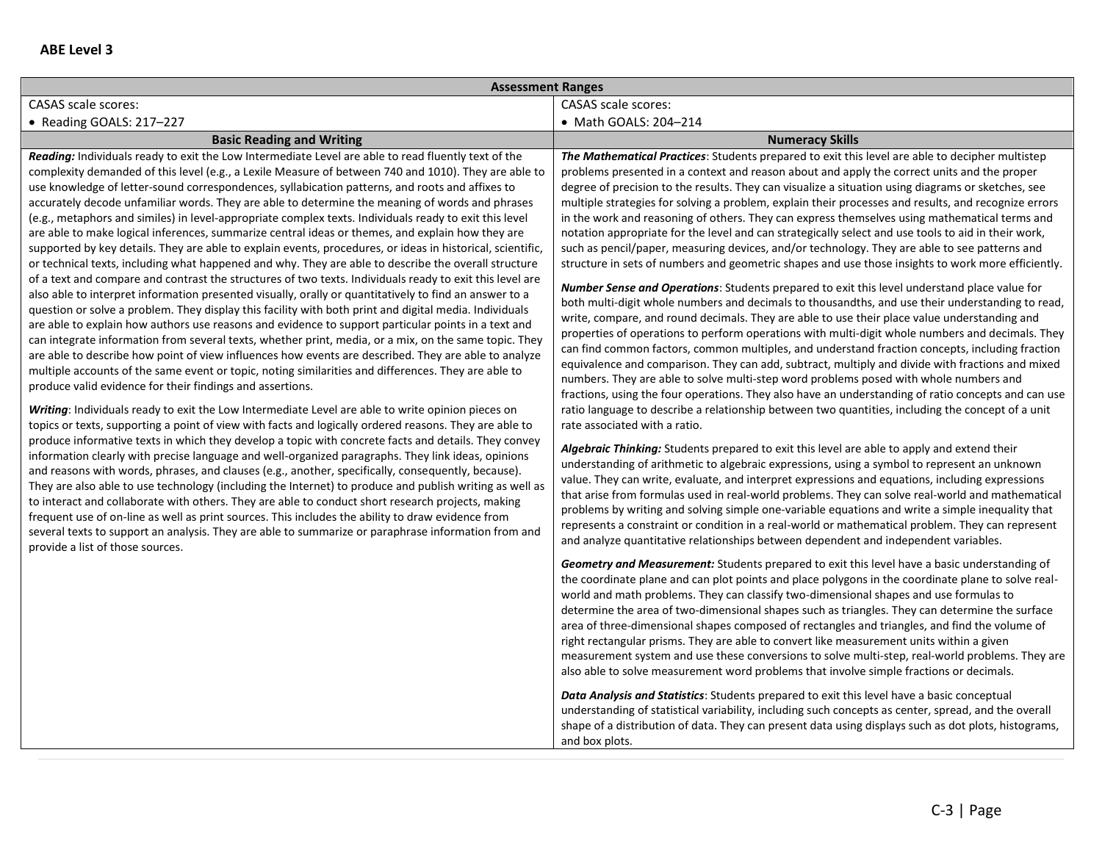| <b>Assessment Ranges</b>                                                                                                                                                                                                                                                                                                                                                                                                                                                                                                                                                                                                                                                                                                                                                                                                                                                                                                                                                                                                                                                                                                                                                                                                                                                                                                                                                                                                                                                                                                                                                                                                                                                                                                                                                                                                                                                                                                                                                                                                                                                                                                                                                                                                                                                                                                                                                                                                                                                                                                                                                                                                                                                             |                                                                                                                                                                                                                                                                                                                                                                                                                                                                                                                                                                                                                                                                                                                                                                                                                                                                                                                                                                                                                                                                                                                                                                                                                                                                                                                                                                                                                                                                                                                                                                                                                                                                                                                                                                                                                                                                                                                                                                                                                                                                                                                                                                                                                                                                                                                                                                                                                                                                                       |  |
|--------------------------------------------------------------------------------------------------------------------------------------------------------------------------------------------------------------------------------------------------------------------------------------------------------------------------------------------------------------------------------------------------------------------------------------------------------------------------------------------------------------------------------------------------------------------------------------------------------------------------------------------------------------------------------------------------------------------------------------------------------------------------------------------------------------------------------------------------------------------------------------------------------------------------------------------------------------------------------------------------------------------------------------------------------------------------------------------------------------------------------------------------------------------------------------------------------------------------------------------------------------------------------------------------------------------------------------------------------------------------------------------------------------------------------------------------------------------------------------------------------------------------------------------------------------------------------------------------------------------------------------------------------------------------------------------------------------------------------------------------------------------------------------------------------------------------------------------------------------------------------------------------------------------------------------------------------------------------------------------------------------------------------------------------------------------------------------------------------------------------------------------------------------------------------------------------------------------------------------------------------------------------------------------------------------------------------------------------------------------------------------------------------------------------------------------------------------------------------------------------------------------------------------------------------------------------------------------------------------------------------------------------------------------------------------|---------------------------------------------------------------------------------------------------------------------------------------------------------------------------------------------------------------------------------------------------------------------------------------------------------------------------------------------------------------------------------------------------------------------------------------------------------------------------------------------------------------------------------------------------------------------------------------------------------------------------------------------------------------------------------------------------------------------------------------------------------------------------------------------------------------------------------------------------------------------------------------------------------------------------------------------------------------------------------------------------------------------------------------------------------------------------------------------------------------------------------------------------------------------------------------------------------------------------------------------------------------------------------------------------------------------------------------------------------------------------------------------------------------------------------------------------------------------------------------------------------------------------------------------------------------------------------------------------------------------------------------------------------------------------------------------------------------------------------------------------------------------------------------------------------------------------------------------------------------------------------------------------------------------------------------------------------------------------------------------------------------------------------------------------------------------------------------------------------------------------------------------------------------------------------------------------------------------------------------------------------------------------------------------------------------------------------------------------------------------------------------------------------------------------------------------------------------------------------------|--|
| <b>CASAS</b> scale scores:                                                                                                                                                                                                                                                                                                                                                                                                                                                                                                                                                                                                                                                                                                                                                                                                                                                                                                                                                                                                                                                                                                                                                                                                                                                                                                                                                                                                                                                                                                                                                                                                                                                                                                                                                                                                                                                                                                                                                                                                                                                                                                                                                                                                                                                                                                                                                                                                                                                                                                                                                                                                                                                           | <b>CASAS</b> scale scores:                                                                                                                                                                                                                                                                                                                                                                                                                                                                                                                                                                                                                                                                                                                                                                                                                                                                                                                                                                                                                                                                                                                                                                                                                                                                                                                                                                                                                                                                                                                                                                                                                                                                                                                                                                                                                                                                                                                                                                                                                                                                                                                                                                                                                                                                                                                                                                                                                                                            |  |
| • Reading GOALS: 217-227                                                                                                                                                                                                                                                                                                                                                                                                                                                                                                                                                                                                                                                                                                                                                                                                                                                                                                                                                                                                                                                                                                                                                                                                                                                                                                                                                                                                                                                                                                                                                                                                                                                                                                                                                                                                                                                                                                                                                                                                                                                                                                                                                                                                                                                                                                                                                                                                                                                                                                                                                                                                                                                             | • Math GOALS: 204-214                                                                                                                                                                                                                                                                                                                                                                                                                                                                                                                                                                                                                                                                                                                                                                                                                                                                                                                                                                                                                                                                                                                                                                                                                                                                                                                                                                                                                                                                                                                                                                                                                                                                                                                                                                                                                                                                                                                                                                                                                                                                                                                                                                                                                                                                                                                                                                                                                                                                 |  |
| <b>Basic Reading and Writing</b>                                                                                                                                                                                                                                                                                                                                                                                                                                                                                                                                                                                                                                                                                                                                                                                                                                                                                                                                                                                                                                                                                                                                                                                                                                                                                                                                                                                                                                                                                                                                                                                                                                                                                                                                                                                                                                                                                                                                                                                                                                                                                                                                                                                                                                                                                                                                                                                                                                                                                                                                                                                                                                                     | <b>Numeracy Skills</b>                                                                                                                                                                                                                                                                                                                                                                                                                                                                                                                                                                                                                                                                                                                                                                                                                                                                                                                                                                                                                                                                                                                                                                                                                                                                                                                                                                                                                                                                                                                                                                                                                                                                                                                                                                                                                                                                                                                                                                                                                                                                                                                                                                                                                                                                                                                                                                                                                                                                |  |
| Reading: Individuals ready to exit the Low Intermediate Level are able to read fluently text of the<br>complexity demanded of this level (e.g., a Lexile Measure of between 740 and 1010). They are able to<br>use knowledge of letter-sound correspondences, syllabication patterns, and roots and affixes to<br>accurately decode unfamiliar words. They are able to determine the meaning of words and phrases<br>(e.g., metaphors and similes) in level-appropriate complex texts. Individuals ready to exit this level<br>are able to make logical inferences, summarize central ideas or themes, and explain how they are<br>supported by key details. They are able to explain events, procedures, or ideas in historical, scientific,<br>or technical texts, including what happened and why. They are able to describe the overall structure<br>of a text and compare and contrast the structures of two texts. Individuals ready to exit this level are<br>also able to interpret information presented visually, orally or quantitatively to find an answer to a<br>question or solve a problem. They display this facility with both print and digital media. Individuals<br>are able to explain how authors use reasons and evidence to support particular points in a text and<br>can integrate information from several texts, whether print, media, or a mix, on the same topic. They<br>are able to describe how point of view influences how events are described. They are able to analyze<br>multiple accounts of the same event or topic, noting similarities and differences. They are able to<br>produce valid evidence for their findings and assertions.<br>Writing: Individuals ready to exit the Low Intermediate Level are able to write opinion pieces on<br>topics or texts, supporting a point of view with facts and logically ordered reasons. They are able to<br>produce informative texts in which they develop a topic with concrete facts and details. They convey<br>information clearly with precise language and well-organized paragraphs. They link ideas, opinions<br>and reasons with words, phrases, and clauses (e.g., another, specifically, consequently, because).<br>They are also able to use technology (including the Internet) to produce and publish writing as well as<br>to interact and collaborate with others. They are able to conduct short research projects, making<br>frequent use of on-line as well as print sources. This includes the ability to draw evidence from<br>several texts to support an analysis. They are able to summarize or paraphrase information from and<br>provide a list of those sources. | The Mathematical Practices: Students prepared to exit this level are able to decipher multistep<br>problems presented in a context and reason about and apply the correct units and the proper<br>degree of precision to the results. They can visualize a situation using diagrams or sketches, see<br>multiple strategies for solving a problem, explain their processes and results, and recognize errors<br>in the work and reasoning of others. They can express themselves using mathematical terms and<br>notation appropriate for the level and can strategically select and use tools to aid in their work,<br>such as pencil/paper, measuring devices, and/or technology. They are able to see patterns and<br>structure in sets of numbers and geometric shapes and use those insights to work more efficiently.<br>Number Sense and Operations: Students prepared to exit this level understand place value for<br>both multi-digit whole numbers and decimals to thousandths, and use their understanding to read,<br>write, compare, and round decimals. They are able to use their place value understanding and<br>properties of operations to perform operations with multi-digit whole numbers and decimals. They<br>can find common factors, common multiples, and understand fraction concepts, including fraction<br>equivalence and comparison. They can add, subtract, multiply and divide with fractions and mixed<br>numbers. They are able to solve multi-step word problems posed with whole numbers and<br>fractions, using the four operations. They also have an understanding of ratio concepts and can use<br>ratio language to describe a relationship between two quantities, including the concept of a unit<br>rate associated with a ratio.<br>Algebraic Thinking: Students prepared to exit this level are able to apply and extend their<br>understanding of arithmetic to algebraic expressions, using a symbol to represent an unknown<br>value. They can write, evaluate, and interpret expressions and equations, including expressions<br>that arise from formulas used in real-world problems. They can solve real-world and mathematical<br>problems by writing and solving simple one-variable equations and write a simple inequality that<br>represents a constraint or condition in a real-world or mathematical problem. They can represent<br>and analyze quantitative relationships between dependent and independent variables. |  |
|                                                                                                                                                                                                                                                                                                                                                                                                                                                                                                                                                                                                                                                                                                                                                                                                                                                                                                                                                                                                                                                                                                                                                                                                                                                                                                                                                                                                                                                                                                                                                                                                                                                                                                                                                                                                                                                                                                                                                                                                                                                                                                                                                                                                                                                                                                                                                                                                                                                                                                                                                                                                                                                                                      | <b>Geometry and Measurement:</b> Students prepared to exit this level have a basic understanding of<br>the coordinate plane and can plot points and place polygons in the coordinate plane to solve real-<br>world and math problems. They can classify two-dimensional shapes and use formulas to<br>determine the area of two-dimensional shapes such as triangles. They can determine the surface<br>area of three-dimensional shapes composed of rectangles and triangles, and find the volume of<br>right rectangular prisms. They are able to convert like measurement units within a given<br>measurement system and use these conversions to solve multi-step, real-world problems. They are<br>also able to solve measurement word problems that involve simple fractions or decimals.<br>Data Analysis and Statistics: Students prepared to exit this level have a basic conceptual<br>understanding of statistical variability, including such concepts as center, spread, and the overall<br>shape of a distribution of data. They can present data using displays such as dot plots, histograms,<br>and box plots.                                                                                                                                                                                                                                                                                                                                                                                                                                                                                                                                                                                                                                                                                                                                                                                                                                                                                                                                                                                                                                                                                                                                                                                                                                                                                                                                                       |  |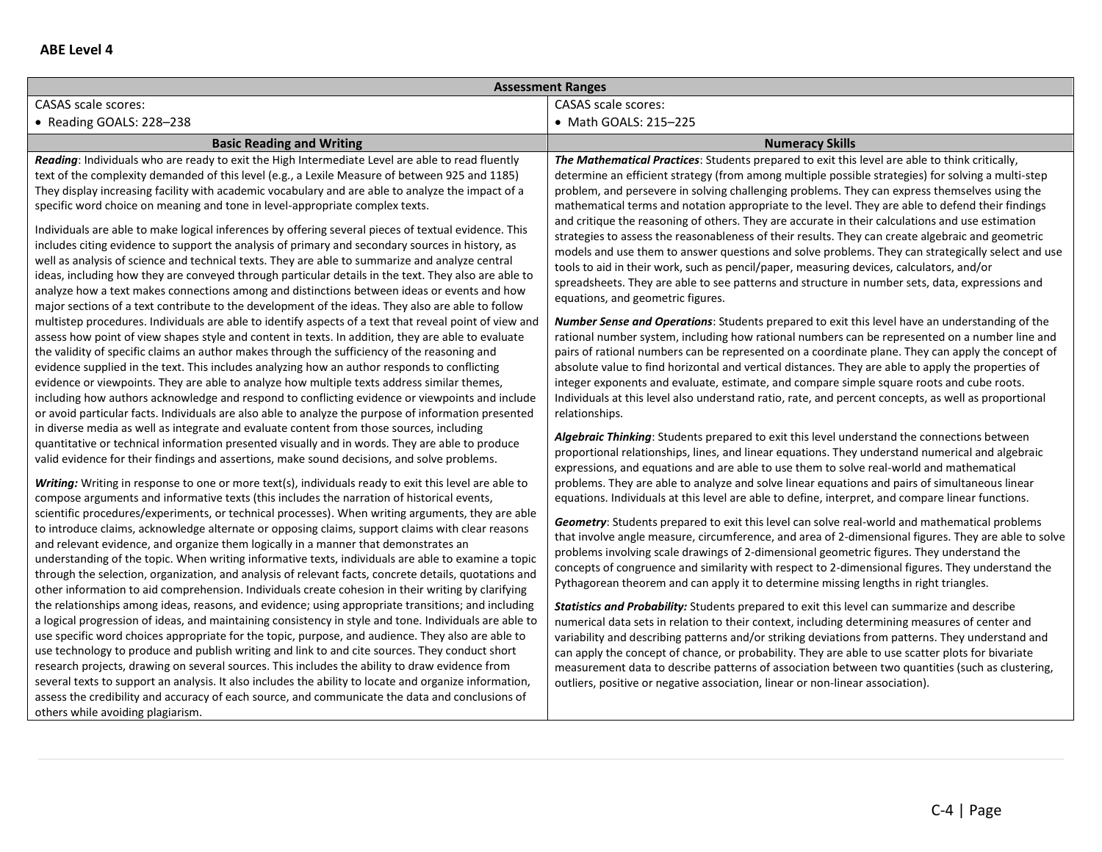|                                                                                                                                                                                                                                                                                                                                                                                                                                                                                                                                                                                                                                                                                                                                                                                                                                                                                                                                                                                                                                                                                                                                                                                                                                                                                                                                                                                                                                                                                                                                                                                                                                                                                                                                                                                                                                                                                                                                                                                                                                                                                                                                                                                                                                                                                                                                                                                                                                                                                                                                                                                                                                                                                                                                                                                                                                                                                                                                                                                                                                                                                                                                                                                                                                                                                                                                                                                                                                                                                                                                                                                                                                                                      | <b>Assessment Ranges</b>                                                                                                                                                                                                                                                                                                                                                                                                                                                                                                                                                                                                                                                                                                                                                                                                                                                                                                                                                                                                                                                                                                                                                                                                                                                                                                                                                                                                                                                                                                                                                                                                                                                                                                                                                                                                                                                                                                                                                                                                                                                                                                                                                                                                                                                                                                                                                                                                                                                                                                                                                                                                                                                                                                                                                                                                                                                                                                                                                                                                                                                                                                                                                                                |
|----------------------------------------------------------------------------------------------------------------------------------------------------------------------------------------------------------------------------------------------------------------------------------------------------------------------------------------------------------------------------------------------------------------------------------------------------------------------------------------------------------------------------------------------------------------------------------------------------------------------------------------------------------------------------------------------------------------------------------------------------------------------------------------------------------------------------------------------------------------------------------------------------------------------------------------------------------------------------------------------------------------------------------------------------------------------------------------------------------------------------------------------------------------------------------------------------------------------------------------------------------------------------------------------------------------------------------------------------------------------------------------------------------------------------------------------------------------------------------------------------------------------------------------------------------------------------------------------------------------------------------------------------------------------------------------------------------------------------------------------------------------------------------------------------------------------------------------------------------------------------------------------------------------------------------------------------------------------------------------------------------------------------------------------------------------------------------------------------------------------------------------------------------------------------------------------------------------------------------------------------------------------------------------------------------------------------------------------------------------------------------------------------------------------------------------------------------------------------------------------------------------------------------------------------------------------------------------------------------------------------------------------------------------------------------------------------------------------------------------------------------------------------------------------------------------------------------------------------------------------------------------------------------------------------------------------------------------------------------------------------------------------------------------------------------------------------------------------------------------------------------------------------------------------------------------------------------------------------------------------------------------------------------------------------------------------------------------------------------------------------------------------------------------------------------------------------------------------------------------------------------------------------------------------------------------------------------------------------------------------------------------------------------------------|---------------------------------------------------------------------------------------------------------------------------------------------------------------------------------------------------------------------------------------------------------------------------------------------------------------------------------------------------------------------------------------------------------------------------------------------------------------------------------------------------------------------------------------------------------------------------------------------------------------------------------------------------------------------------------------------------------------------------------------------------------------------------------------------------------------------------------------------------------------------------------------------------------------------------------------------------------------------------------------------------------------------------------------------------------------------------------------------------------------------------------------------------------------------------------------------------------------------------------------------------------------------------------------------------------------------------------------------------------------------------------------------------------------------------------------------------------------------------------------------------------------------------------------------------------------------------------------------------------------------------------------------------------------------------------------------------------------------------------------------------------------------------------------------------------------------------------------------------------------------------------------------------------------------------------------------------------------------------------------------------------------------------------------------------------------------------------------------------------------------------------------------------------------------------------------------------------------------------------------------------------------------------------------------------------------------------------------------------------------------------------------------------------------------------------------------------------------------------------------------------------------------------------------------------------------------------------------------------------------------------------------------------------------------------------------------------------------------------------------------------------------------------------------------------------------------------------------------------------------------------------------------------------------------------------------------------------------------------------------------------------------------------------------------------------------------------------------------------------------------------------------------------------------------------------------------------------|
| <b>CASAS</b> scale scores:<br><b>CASAS</b> scale scores:                                                                                                                                                                                                                                                                                                                                                                                                                                                                                                                                                                                                                                                                                                                                                                                                                                                                                                                                                                                                                                                                                                                                                                                                                                                                                                                                                                                                                                                                                                                                                                                                                                                                                                                                                                                                                                                                                                                                                                                                                                                                                                                                                                                                                                                                                                                                                                                                                                                                                                                                                                                                                                                                                                                                                                                                                                                                                                                                                                                                                                                                                                                                                                                                                                                                                                                                                                                                                                                                                                                                                                                                             |                                                                                                                                                                                                                                                                                                                                                                                                                                                                                                                                                                                                                                                                                                                                                                                                                                                                                                                                                                                                                                                                                                                                                                                                                                                                                                                                                                                                                                                                                                                                                                                                                                                                                                                                                                                                                                                                                                                                                                                                                                                                                                                                                                                                                                                                                                                                                                                                                                                                                                                                                                                                                                                                                                                                                                                                                                                                                                                                                                                                                                                                                                                                                                                                         |
| • Reading GOALS: 228-238                                                                                                                                                                                                                                                                                                                                                                                                                                                                                                                                                                                                                                                                                                                                                                                                                                                                                                                                                                                                                                                                                                                                                                                                                                                                                                                                                                                                                                                                                                                                                                                                                                                                                                                                                                                                                                                                                                                                                                                                                                                                                                                                                                                                                                                                                                                                                                                                                                                                                                                                                                                                                                                                                                                                                                                                                                                                                                                                                                                                                                                                                                                                                                                                                                                                                                                                                                                                                                                                                                                                                                                                                                             | • Math GOALS: 215-225                                                                                                                                                                                                                                                                                                                                                                                                                                                                                                                                                                                                                                                                                                                                                                                                                                                                                                                                                                                                                                                                                                                                                                                                                                                                                                                                                                                                                                                                                                                                                                                                                                                                                                                                                                                                                                                                                                                                                                                                                                                                                                                                                                                                                                                                                                                                                                                                                                                                                                                                                                                                                                                                                                                                                                                                                                                                                                                                                                                                                                                                                                                                                                                   |
| <b>Basic Reading and Writing</b>                                                                                                                                                                                                                                                                                                                                                                                                                                                                                                                                                                                                                                                                                                                                                                                                                                                                                                                                                                                                                                                                                                                                                                                                                                                                                                                                                                                                                                                                                                                                                                                                                                                                                                                                                                                                                                                                                                                                                                                                                                                                                                                                                                                                                                                                                                                                                                                                                                                                                                                                                                                                                                                                                                                                                                                                                                                                                                                                                                                                                                                                                                                                                                                                                                                                                                                                                                                                                                                                                                                                                                                                                                     | <b>Numeracy Skills</b>                                                                                                                                                                                                                                                                                                                                                                                                                                                                                                                                                                                                                                                                                                                                                                                                                                                                                                                                                                                                                                                                                                                                                                                                                                                                                                                                                                                                                                                                                                                                                                                                                                                                                                                                                                                                                                                                                                                                                                                                                                                                                                                                                                                                                                                                                                                                                                                                                                                                                                                                                                                                                                                                                                                                                                                                                                                                                                                                                                                                                                                                                                                                                                                  |
| Reading: Individuals who are ready to exit the High Intermediate Level are able to read fluently<br>text of the complexity demanded of this level (e.g., a Lexile Measure of between 925 and 1185)<br>They display increasing facility with academic vocabulary and are able to analyze the impact of a<br>specific word choice on meaning and tone in level-appropriate complex texts.<br>Individuals are able to make logical inferences by offering several pieces of textual evidence. This<br>includes citing evidence to support the analysis of primary and secondary sources in history, as<br>well as analysis of science and technical texts. They are able to summarize and analyze central<br>ideas, including how they are conveyed through particular details in the text. They also are able to<br>analyze how a text makes connections among and distinctions between ideas or events and how<br>major sections of a text contribute to the development of the ideas. They also are able to follow<br>multistep procedures. Individuals are able to identify aspects of a text that reveal point of view and<br>assess how point of view shapes style and content in texts. In addition, they are able to evaluate<br>the validity of specific claims an author makes through the sufficiency of the reasoning and<br>evidence supplied in the text. This includes analyzing how an author responds to conflicting<br>evidence or viewpoints. They are able to analyze how multiple texts address similar themes,<br>including how authors acknowledge and respond to conflicting evidence or viewpoints and include<br>or avoid particular facts. Individuals are also able to analyze the purpose of information presented<br>relationships.<br>in diverse media as well as integrate and evaluate content from those sources, including<br>quantitative or technical information presented visually and in words. They are able to produce<br>valid evidence for their findings and assertions, make sound decisions, and solve problems.<br>Writing: Writing in response to one or more text(s), individuals ready to exit this level are able to<br>compose arguments and informative texts (this includes the narration of historical events,<br>scientific procedures/experiments, or technical processes). When writing arguments, they are able<br>to introduce claims, acknowledge alternate or opposing claims, support claims with clear reasons<br>and relevant evidence, and organize them logically in a manner that demonstrates an<br>understanding of the topic. When writing informative texts, individuals are able to examine a topic<br>through the selection, organization, and analysis of relevant facts, concrete details, quotations and<br>other information to aid comprehension. Individuals create cohesion in their writing by clarifying<br>the relationships among ideas, reasons, and evidence; using appropriate transitions; and including<br>a logical progression of ideas, and maintaining consistency in style and tone. Individuals are able to<br>use specific word choices appropriate for the topic, purpose, and audience. They also are able to<br>use technology to produce and publish writing and link to and cite sources. They conduct short<br>research projects, drawing on several sources. This includes the ability to draw evidence from<br>several texts to support an analysis. It also includes the ability to locate and organize information,<br>assess the credibility and accuracy of each source, and communicate the data and conclusions of<br>others while avoiding plagiarism. | The Mathematical Practices: Students prepared to exit this level are able to think critically,<br>determine an efficient strategy (from among multiple possible strategies) for solving a multi-step<br>problem, and persevere in solving challenging problems. They can express themselves using the<br>mathematical terms and notation appropriate to the level. They are able to defend their findings<br>and critique the reasoning of others. They are accurate in their calculations and use estimation<br>strategies to assess the reasonableness of their results. They can create algebraic and geometric<br>models and use them to answer questions and solve problems. They can strategically select and use<br>tools to aid in their work, such as pencil/paper, measuring devices, calculators, and/or<br>spreadsheets. They are able to see patterns and structure in number sets, data, expressions and<br>equations, and geometric figures.<br><b>Number Sense and Operations:</b> Students prepared to exit this level have an understanding of the<br>rational number system, including how rational numbers can be represented on a number line and<br>pairs of rational numbers can be represented on a coordinate plane. They can apply the concept of<br>absolute value to find horizontal and vertical distances. They are able to apply the properties of<br>integer exponents and evaluate, estimate, and compare simple square roots and cube roots.<br>Individuals at this level also understand ratio, rate, and percent concepts, as well as proportional<br>Algebraic Thinking: Students prepared to exit this level understand the connections between<br>proportional relationships, lines, and linear equations. They understand numerical and algebraic<br>expressions, and equations and are able to use them to solve real-world and mathematical<br>problems. They are able to analyze and solve linear equations and pairs of simultaneous linear<br>equations. Individuals at this level are able to define, interpret, and compare linear functions.<br>Geometry: Students prepared to exit this level can solve real-world and mathematical problems<br>that involve angle measure, circumference, and area of 2-dimensional figures. They are able to solve<br>problems involving scale drawings of 2-dimensional geometric figures. They understand the<br>concepts of congruence and similarity with respect to 2-dimensional figures. They understand the<br>Pythagorean theorem and can apply it to determine missing lengths in right triangles.<br><b>Statistics and Probability:</b> Students prepared to exit this level can summarize and describe<br>numerical data sets in relation to their context, including determining measures of center and<br>variability and describing patterns and/or striking deviations from patterns. They understand and<br>can apply the concept of chance, or probability. They are able to use scatter plots for bivariate<br>measurement data to describe patterns of association between two quantities (such as clustering,<br>outliers, positive or negative association, linear or non-linear association). |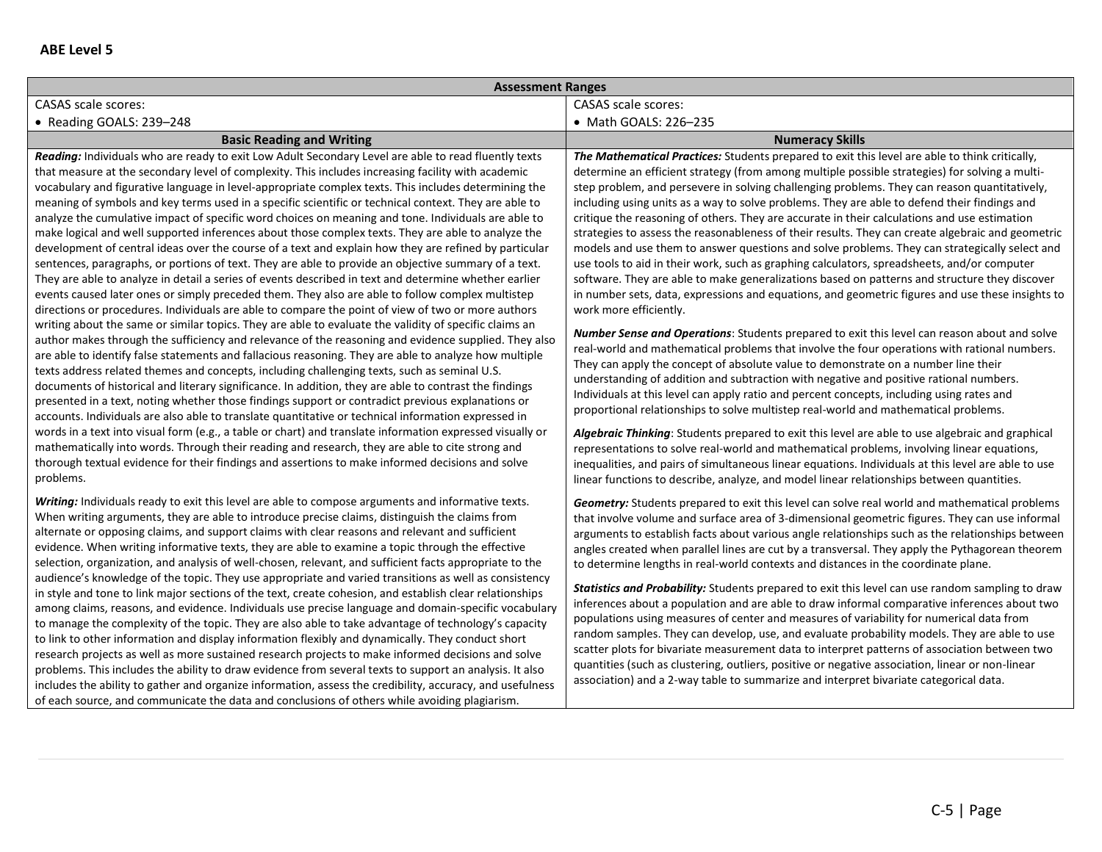| <b>Assessment Ranges</b>                                                                                                                                                                                                                                                                                                                                                                                                                                                                                                                                                                                                                                                                                                                                                                                                                                                                                                                                                                                                                                                                                                                                                                                                                                                                                                                                                                                                                                                                        |                                                                                                                                                                                                                                                                                                                                                                                                                                                                                                                                                                                                                                                                                                                                                                                                                                                                                                                                                                                                                                                                                                                                                                                            |  |
|-------------------------------------------------------------------------------------------------------------------------------------------------------------------------------------------------------------------------------------------------------------------------------------------------------------------------------------------------------------------------------------------------------------------------------------------------------------------------------------------------------------------------------------------------------------------------------------------------------------------------------------------------------------------------------------------------------------------------------------------------------------------------------------------------------------------------------------------------------------------------------------------------------------------------------------------------------------------------------------------------------------------------------------------------------------------------------------------------------------------------------------------------------------------------------------------------------------------------------------------------------------------------------------------------------------------------------------------------------------------------------------------------------------------------------------------------------------------------------------------------|--------------------------------------------------------------------------------------------------------------------------------------------------------------------------------------------------------------------------------------------------------------------------------------------------------------------------------------------------------------------------------------------------------------------------------------------------------------------------------------------------------------------------------------------------------------------------------------------------------------------------------------------------------------------------------------------------------------------------------------------------------------------------------------------------------------------------------------------------------------------------------------------------------------------------------------------------------------------------------------------------------------------------------------------------------------------------------------------------------------------------------------------------------------------------------------------|--|
| <b>CASAS</b> scale scores:                                                                                                                                                                                                                                                                                                                                                                                                                                                                                                                                                                                                                                                                                                                                                                                                                                                                                                                                                                                                                                                                                                                                                                                                                                                                                                                                                                                                                                                                      | <b>CASAS</b> scale scores:                                                                                                                                                                                                                                                                                                                                                                                                                                                                                                                                                                                                                                                                                                                                                                                                                                                                                                                                                                                                                                                                                                                                                                 |  |
| • Reading GOALS: 239-248                                                                                                                                                                                                                                                                                                                                                                                                                                                                                                                                                                                                                                                                                                                                                                                                                                                                                                                                                                                                                                                                                                                                                                                                                                                                                                                                                                                                                                                                        | • Math GOALS: 226-235                                                                                                                                                                                                                                                                                                                                                                                                                                                                                                                                                                                                                                                                                                                                                                                                                                                                                                                                                                                                                                                                                                                                                                      |  |
| <b>Basic Reading and Writing</b>                                                                                                                                                                                                                                                                                                                                                                                                                                                                                                                                                                                                                                                                                                                                                                                                                                                                                                                                                                                                                                                                                                                                                                                                                                                                                                                                                                                                                                                                | <b>Numeracy Skills</b>                                                                                                                                                                                                                                                                                                                                                                                                                                                                                                                                                                                                                                                                                                                                                                                                                                                                                                                                                                                                                                                                                                                                                                     |  |
| Reading: Individuals who are ready to exit Low Adult Secondary Level are able to read fluently texts<br>that measure at the secondary level of complexity. This includes increasing facility with academic<br>vocabulary and figurative language in level-appropriate complex texts. This includes determining the<br>meaning of symbols and key terms used in a specific scientific or technical context. They are able to<br>analyze the cumulative impact of specific word choices on meaning and tone. Individuals are able to<br>make logical and well supported inferences about those complex texts. They are able to analyze the<br>development of central ideas over the course of a text and explain how they are refined by particular<br>sentences, paragraphs, or portions of text. They are able to provide an objective summary of a text.<br>They are able to analyze in detail a series of events described in text and determine whether earlier<br>events caused later ones or simply preceded them. They also are able to follow complex multistep<br>directions or procedures. Individuals are able to compare the point of view of two or more authors<br>writing about the same or similar topics. They are able to evaluate the validity of specific claims an                                                                                                                                                                                                          | The Mathematical Practices: Students prepared to exit this level are able to think critically,<br>determine an efficient strategy (from among multiple possible strategies) for solving a multi-<br>step problem, and persevere in solving challenging problems. They can reason quantitatively,<br>including using units as a way to solve problems. They are able to defend their findings and<br>critique the reasoning of others. They are accurate in their calculations and use estimation<br>strategies to assess the reasonableness of their results. They can create algebraic and geometric<br>models and use them to answer questions and solve problems. They can strategically select and<br>use tools to aid in their work, such as graphing calculators, spreadsheets, and/or computer<br>software. They are able to make generalizations based on patterns and structure they discover<br>in number sets, data, expressions and equations, and geometric figures and use these insights to<br>work more efficiently.<br><b>Number Sense and Operations:</b> Students prepared to exit this level can reason about and solve                                                |  |
| author makes through the sufficiency and relevance of the reasoning and evidence supplied. They also<br>are able to identify false statements and fallacious reasoning. They are able to analyze how multiple<br>texts address related themes and concepts, including challenging texts, such as seminal U.S.<br>documents of historical and literary significance. In addition, they are able to contrast the findings<br>presented in a text, noting whether those findings support or contradict previous explanations or<br>accounts. Individuals are also able to translate quantitative or technical information expressed in<br>words in a text into visual form (e.g., a table or chart) and translate information expressed visually or<br>mathematically into words. Through their reading and research, they are able to cite strong and<br>thorough textual evidence for their findings and assertions to make informed decisions and solve<br>problems.                                                                                                                                                                                                                                                                                                                                                                                                                                                                                                                            | real-world and mathematical problems that involve the four operations with rational numbers.<br>They can apply the concept of absolute value to demonstrate on a number line their<br>understanding of addition and subtraction with negative and positive rational numbers.<br>Individuals at this level can apply ratio and percent concepts, including using rates and<br>proportional relationships to solve multistep real-world and mathematical problems.<br>Algebraic Thinking: Students prepared to exit this level are able to use algebraic and graphical<br>representations to solve real-world and mathematical problems, involving linear equations,<br>inequalities, and pairs of simultaneous linear equations. Individuals at this level are able to use<br>linear functions to describe, analyze, and model linear relationships between quantities.                                                                                                                                                                                                                                                                                                                     |  |
| Writing: Individuals ready to exit this level are able to compose arguments and informative texts.<br>When writing arguments, they are able to introduce precise claims, distinguish the claims from<br>alternate or opposing claims, and support claims with clear reasons and relevant and sufficient<br>evidence. When writing informative texts, they are able to examine a topic through the effective<br>selection, organization, and analysis of well-chosen, relevant, and sufficient facts appropriate to the<br>audience's knowledge of the topic. They use appropriate and varied transitions as well as consistency<br>in style and tone to link major sections of the text, create cohesion, and establish clear relationships<br>among claims, reasons, and evidence. Individuals use precise language and domain-specific vocabulary<br>to manage the complexity of the topic. They are also able to take advantage of technology's capacity<br>to link to other information and display information flexibly and dynamically. They conduct short<br>research projects as well as more sustained research projects to make informed decisions and solve<br>problems. This includes the ability to draw evidence from several texts to support an analysis. It also<br>includes the ability to gather and organize information, assess the credibility, accuracy, and usefulness<br>of each source, and communicate the data and conclusions of others while avoiding plagiarism. | Geometry: Students prepared to exit this level can solve real world and mathematical problems<br>that involve volume and surface area of 3-dimensional geometric figures. They can use informal<br>arguments to establish facts about various angle relationships such as the relationships between<br>angles created when parallel lines are cut by a transversal. They apply the Pythagorean theorem<br>to determine lengths in real-world contexts and distances in the coordinate plane.<br>Statistics and Probability: Students prepared to exit this level can use random sampling to draw<br>inferences about a population and are able to draw informal comparative inferences about two<br>populations using measures of center and measures of variability for numerical data from<br>random samples. They can develop, use, and evaluate probability models. They are able to use<br>scatter plots for bivariate measurement data to interpret patterns of association between two<br>quantities (such as clustering, outliers, positive or negative association, linear or non-linear<br>association) and a 2-way table to summarize and interpret bivariate categorical data. |  |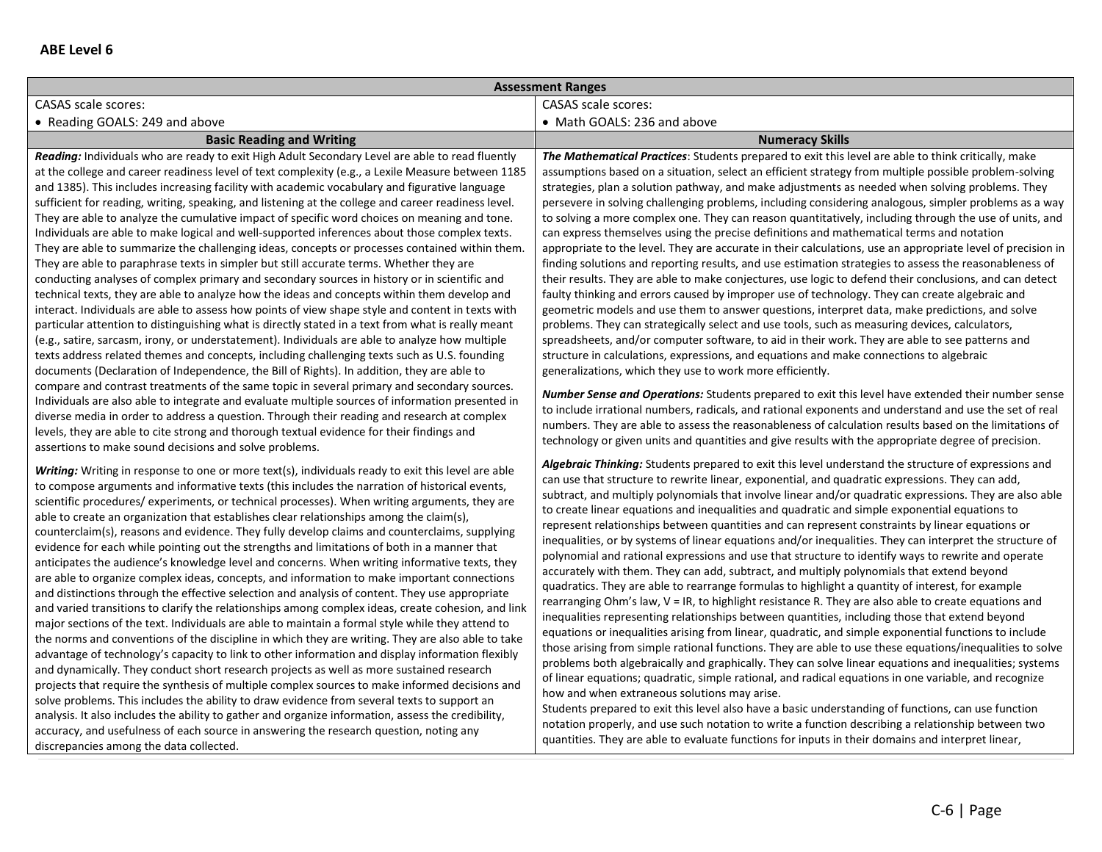| <b>Assessment Ranges</b>                                                                                                                                                                                                                                                                                                                                                                                                                                                                                                                                                                                                                                                                                                                                                                                                                                                                                                                                                                                                                                                                                                                                                                                                                                                                                                                                                                                                                                                                                                                                                                                                                                                                                                                                                                                                                                    |                                                                                                                                                                                                                                                                                                                                                                                                                                                                                                                                                                                                                                                                                                                                                                                                                                                                                                                                                                                                                                                                                                                                                                                                                                                                                                                                                                                                                                                                                                                                                                                                                                                                                                                                                                                                                                                       |
|-------------------------------------------------------------------------------------------------------------------------------------------------------------------------------------------------------------------------------------------------------------------------------------------------------------------------------------------------------------------------------------------------------------------------------------------------------------------------------------------------------------------------------------------------------------------------------------------------------------------------------------------------------------------------------------------------------------------------------------------------------------------------------------------------------------------------------------------------------------------------------------------------------------------------------------------------------------------------------------------------------------------------------------------------------------------------------------------------------------------------------------------------------------------------------------------------------------------------------------------------------------------------------------------------------------------------------------------------------------------------------------------------------------------------------------------------------------------------------------------------------------------------------------------------------------------------------------------------------------------------------------------------------------------------------------------------------------------------------------------------------------------------------------------------------------------------------------------------------------|-------------------------------------------------------------------------------------------------------------------------------------------------------------------------------------------------------------------------------------------------------------------------------------------------------------------------------------------------------------------------------------------------------------------------------------------------------------------------------------------------------------------------------------------------------------------------------------------------------------------------------------------------------------------------------------------------------------------------------------------------------------------------------------------------------------------------------------------------------------------------------------------------------------------------------------------------------------------------------------------------------------------------------------------------------------------------------------------------------------------------------------------------------------------------------------------------------------------------------------------------------------------------------------------------------------------------------------------------------------------------------------------------------------------------------------------------------------------------------------------------------------------------------------------------------------------------------------------------------------------------------------------------------------------------------------------------------------------------------------------------------------------------------------------------------------------------------------------------------|
| <b>CASAS scale scores:</b>                                                                                                                                                                                                                                                                                                                                                                                                                                                                                                                                                                                                                                                                                                                                                                                                                                                                                                                                                                                                                                                                                                                                                                                                                                                                                                                                                                                                                                                                                                                                                                                                                                                                                                                                                                                                                                  | <b>CASAS</b> scale scores:                                                                                                                                                                                                                                                                                                                                                                                                                                                                                                                                                                                                                                                                                                                                                                                                                                                                                                                                                                                                                                                                                                                                                                                                                                                                                                                                                                                                                                                                                                                                                                                                                                                                                                                                                                                                                            |
| • Reading GOALS: 249 and above                                                                                                                                                                                                                                                                                                                                                                                                                                                                                                                                                                                                                                                                                                                                                                                                                                                                                                                                                                                                                                                                                                                                                                                                                                                                                                                                                                                                                                                                                                                                                                                                                                                                                                                                                                                                                              | • Math GOALS: 236 and above                                                                                                                                                                                                                                                                                                                                                                                                                                                                                                                                                                                                                                                                                                                                                                                                                                                                                                                                                                                                                                                                                                                                                                                                                                                                                                                                                                                                                                                                                                                                                                                                                                                                                                                                                                                                                           |
| <b>Basic Reading and Writing</b>                                                                                                                                                                                                                                                                                                                                                                                                                                                                                                                                                                                                                                                                                                                                                                                                                                                                                                                                                                                                                                                                                                                                                                                                                                                                                                                                                                                                                                                                                                                                                                                                                                                                                                                                                                                                                            | <b>Numeracy Skills</b>                                                                                                                                                                                                                                                                                                                                                                                                                                                                                                                                                                                                                                                                                                                                                                                                                                                                                                                                                                                                                                                                                                                                                                                                                                                                                                                                                                                                                                                                                                                                                                                                                                                                                                                                                                                                                                |
| Reading: Individuals who are ready to exit High Adult Secondary Level are able to read fluently<br>at the college and career readiness level of text complexity (e.g., a Lexile Measure between 1185<br>and 1385). This includes increasing facility with academic vocabulary and figurative language<br>sufficient for reading, writing, speaking, and listening at the college and career readiness level.<br>They are able to analyze the cumulative impact of specific word choices on meaning and tone.<br>Individuals are able to make logical and well-supported inferences about those complex texts.<br>They are able to summarize the challenging ideas, concepts or processes contained within them.<br>They are able to paraphrase texts in simpler but still accurate terms. Whether they are<br>conducting analyses of complex primary and secondary sources in history or in scientific and<br>technical texts, they are able to analyze how the ideas and concepts within them develop and<br>interact. Individuals are able to assess how points of view shape style and content in texts with<br>particular attention to distinguishing what is directly stated in a text from what is really meant<br>(e.g., satire, sarcasm, irony, or understatement). Individuals are able to analyze how multiple                                                                                                                                                                                                                                                                                                                                                                                                                                                                                                                                    | The Mathematical Practices: Students prepared to exit this level are able to think critically, make<br>assumptions based on a situation, select an efficient strategy from multiple possible problem-solving<br>strategies, plan a solution pathway, and make adjustments as needed when solving problems. They<br>persevere in solving challenging problems, including considering analogous, simpler problems as a way<br>to solving a more complex one. They can reason quantitatively, including through the use of units, and<br>can express themselves using the precise definitions and mathematical terms and notation<br>appropriate to the level. They are accurate in their calculations, use an appropriate level of precision in<br>finding solutions and reporting results, and use estimation strategies to assess the reasonableness of<br>their results. They are able to make conjectures, use logic to defend their conclusions, and can detect<br>faulty thinking and errors caused by improper use of technology. They can create algebraic and<br>geometric models and use them to answer questions, interpret data, make predictions, and solve<br>problems. They can strategically select and use tools, such as measuring devices, calculators,<br>spreadsheets, and/or computer software, to aid in their work. They are able to see patterns and                                                                                                                                                                                                                                                                                                                                                                                                                                                                           |
| texts address related themes and concepts, including challenging texts such as U.S. founding<br>documents (Declaration of Independence, the Bill of Rights). In addition, they are able to<br>compare and contrast treatments of the same topic in several primary and secondary sources.<br>Individuals are also able to integrate and evaluate multiple sources of information presented in<br>diverse media in order to address a question. Through their reading and research at complex<br>levels, they are able to cite strong and thorough textual evidence for their findings and<br>assertions to make sound decisions and solve problems.                                                                                                                                                                                                                                                                                                                                                                                                                                                                                                                                                                                                                                                                                                                                                                                                                                                                                                                                                                                                                                                                                                                                                                                                         | structure in calculations, expressions, and equations and make connections to algebraic<br>generalizations, which they use to work more efficiently.<br>Number Sense and Operations: Students prepared to exit this level have extended their number sense<br>to include irrational numbers, radicals, and rational exponents and understand and use the set of real<br>numbers. They are able to assess the reasonableness of calculation results based on the limitations of<br>technology or given units and quantities and give results with the appropriate degree of precision.<br>Algebraic Thinking: Students prepared to exit this level understand the structure of expressions and                                                                                                                                                                                                                                                                                                                                                                                                                                                                                                                                                                                                                                                                                                                                                                                                                                                                                                                                                                                                                                                                                                                                                         |
| Writing: Writing in response to one or more text(s), individuals ready to exit this level are able<br>to compose arguments and informative texts (this includes the narration of historical events,<br>scientific procedures/experiments, or technical processes). When writing arguments, they are<br>able to create an organization that establishes clear relationships among the claim(s),<br>counterclaim(s), reasons and evidence. They fully develop claims and counterclaims, supplying<br>evidence for each while pointing out the strengths and limitations of both in a manner that<br>anticipates the audience's knowledge level and concerns. When writing informative texts, they<br>are able to organize complex ideas, concepts, and information to make important connections<br>and distinctions through the effective selection and analysis of content. They use appropriate<br>and varied transitions to clarify the relationships among complex ideas, create cohesion, and link<br>major sections of the text. Individuals are able to maintain a formal style while they attend to<br>the norms and conventions of the discipline in which they are writing. They are also able to take<br>advantage of technology's capacity to link to other information and display information flexibly<br>and dynamically. They conduct short research projects as well as more sustained research<br>projects that require the synthesis of multiple complex sources to make informed decisions and<br>solve problems. This includes the ability to draw evidence from several texts to support an<br>analysis. It also includes the ability to gather and organize information, assess the credibility,<br>accuracy, and usefulness of each source in answering the research question, noting any<br>discrepancies among the data collected. | can use that structure to rewrite linear, exponential, and quadratic expressions. They can add,<br>subtract, and multiply polynomials that involve linear and/or quadratic expressions. They are also able<br>to create linear equations and inequalities and quadratic and simple exponential equations to<br>represent relationships between quantities and can represent constraints by linear equations or<br>inequalities, or by systems of linear equations and/or inequalities. They can interpret the structure of<br>polynomial and rational expressions and use that structure to identify ways to rewrite and operate<br>accurately with them. They can add, subtract, and multiply polynomials that extend beyond<br>quadratics. They are able to rearrange formulas to highlight a quantity of interest, for example<br>rearranging Ohm's law, V = IR, to highlight resistance R. They are also able to create equations and<br>inequalities representing relationships between quantities, including those that extend beyond<br>equations or inequalities arising from linear, quadratic, and simple exponential functions to include<br>those arising from simple rational functions. They are able to use these equations/inequalities to solve<br>problems both algebraically and graphically. They can solve linear equations and inequalities; systems<br>of linear equations; quadratic, simple rational, and radical equations in one variable, and recognize<br>how and when extraneous solutions may arise.<br>Students prepared to exit this level also have a basic understanding of functions, can use function<br>notation properly, and use such notation to write a function describing a relationship between two<br>quantities. They are able to evaluate functions for inputs in their domains and interpret linear, |